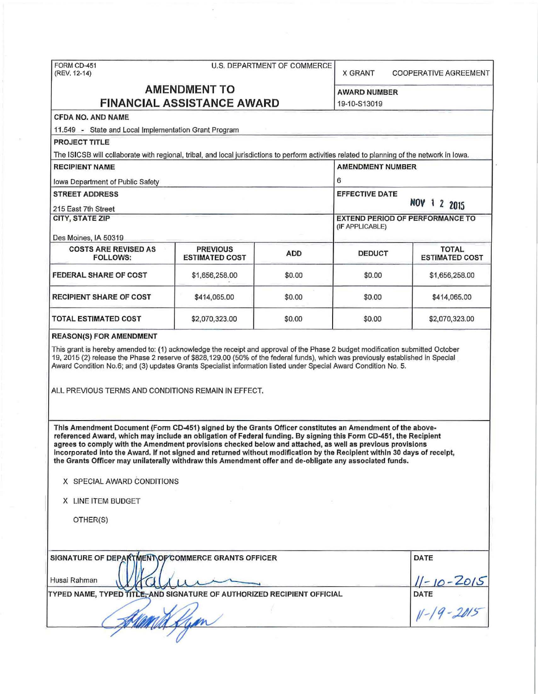| (REV. 12-14)                                                                                                                                                                                                                                                                                                                                                                                                                                                                                                                                                                                                                                      |                       | X GRANT    | <b>COOPERATIVE AGREEMENT</b>                              |                                  |
|---------------------------------------------------------------------------------------------------------------------------------------------------------------------------------------------------------------------------------------------------------------------------------------------------------------------------------------------------------------------------------------------------------------------------------------------------------------------------------------------------------------------------------------------------------------------------------------------------------------------------------------------------|-----------------------|------------|-----------------------------------------------------------|----------------------------------|
| <b>AMENDMENT TO</b>                                                                                                                                                                                                                                                                                                                                                                                                                                                                                                                                                                                                                               |                       |            | <b>AWARD NUMBER</b>                                       |                                  |
| <b>FINANCIAL ASSISTANCE AWARD</b>                                                                                                                                                                                                                                                                                                                                                                                                                                                                                                                                                                                                                 | 19-10-S13019          |            |                                                           |                                  |
| <b>CFDA NO. AND NAME</b>                                                                                                                                                                                                                                                                                                                                                                                                                                                                                                                                                                                                                          |                       |            |                                                           |                                  |
| 11.549 - State and Local Implementation Grant Program                                                                                                                                                                                                                                                                                                                                                                                                                                                                                                                                                                                             |                       |            |                                                           |                                  |
| <b>PROJECT TITLE</b>                                                                                                                                                                                                                                                                                                                                                                                                                                                                                                                                                                                                                              |                       |            |                                                           |                                  |
| The ISICSB will collaborate with regional, tribal, and local jurisdictions to perform activities related to planning of the network in lowa.                                                                                                                                                                                                                                                                                                                                                                                                                                                                                                      |                       |            |                                                           |                                  |
| <b>RECIPIENT NAME</b>                                                                                                                                                                                                                                                                                                                                                                                                                                                                                                                                                                                                                             |                       |            | <b>AMENDMENT NUMBER</b>                                   |                                  |
| lowa Department of Public Safety                                                                                                                                                                                                                                                                                                                                                                                                                                                                                                                                                                                                                  | 6                     |            |                                                           |                                  |
| <b>STREET ADDRESS</b>                                                                                                                                                                                                                                                                                                                                                                                                                                                                                                                                                                                                                             |                       |            | <b>EFFECTIVE DATE</b><br>NOV 1 2 2015                     |                                  |
| 215 East 7th Street                                                                                                                                                                                                                                                                                                                                                                                                                                                                                                                                                                                                                               |                       |            |                                                           |                                  |
| <b>CITY, STATE ZIP</b>                                                                                                                                                                                                                                                                                                                                                                                                                                                                                                                                                                                                                            |                       |            | <b>EXTEND PERIOD OF PERFORMANCE TO</b><br>(IF APPLICABLE) |                                  |
|                                                                                                                                                                                                                                                                                                                                                                                                                                                                                                                                                                                                                                                   |                       |            |                                                           |                                  |
| Des Moines, IA 50319<br><b>COSTS ARE REVISED AS</b>                                                                                                                                                                                                                                                                                                                                                                                                                                                                                                                                                                                               | <b>PREVIOUS</b>       |            |                                                           | <b>TOTAL</b>                     |
| <b>FOLLOWS:</b>                                                                                                                                                                                                                                                                                                                                                                                                                                                                                                                                                                                                                                   | <b>ESTIMATED COST</b> | <b>ADD</b> | <b>DEDUCT</b>                                             | <b>ESTIMATED COST</b>            |
| <b>FEDERAL SHARE OF COST</b>                                                                                                                                                                                                                                                                                                                                                                                                                                                                                                                                                                                                                      | \$1,656,258.00        | \$0.00     | \$0.00                                                    | \$1,656,258.00                   |
| <b>RECIPIENT SHARE OF COST</b>                                                                                                                                                                                                                                                                                                                                                                                                                                                                                                                                                                                                                    | \$414,065.00          | \$0.00     | \$0.00                                                    | \$414,065.00                     |
|                                                                                                                                                                                                                                                                                                                                                                                                                                                                                                                                                                                                                                                   |                       |            |                                                           |                                  |
|                                                                                                                                                                                                                                                                                                                                                                                                                                                                                                                                                                                                                                                   | \$2,070,323.00        | \$0.00     | \$0.00                                                    | \$2,070,323.00                   |
| TOTAL ESTIMATED COST<br><b>REASON(S) FOR AMENDMENT</b><br>This grant is hereby amended to: (1) acknowledge the receipt and approval of the Phase 2 budget modification submitted October<br>19, 2015 (2) release the Phase 2 reserve of \$828,129.00 (50% of the federal funds), which was previously established in Special<br>Award Condition No.6; and (3) updates Grants Specialist information listed under Special Award Condition No. 5.<br>ALL PREVIOUS TERMS AND CONDITIONS REMAIN IN EFFECT.                                                                                                                                            |                       |            |                                                           |                                  |
| This Amendment Document (Form CD-451) signed by the Grants Officer constitutes an Amendment of the above-<br>referenced Award, which may include an obligation of Federal funding. By signing this Form CD-451, the Recipient<br>agrees to comply with the Amendment provisions checked below and attached, as well as previous provisions<br>incorporated into the Award. If not signed and returned without modification by the Recipient within 30 days of receipt,<br>the Grants Officer may unilaterally withdraw this Amendment offer and de-obligate any associated funds.<br>X SPECIAL AWARD CONDITIONS<br>X LINE ITEM BUDGET<br>OTHER(S) |                       |            |                                                           |                                  |
| SIGNATURE OF DEPARTMENT OF COMMERCE GRANTS OFFICER                                                                                                                                                                                                                                                                                                                                                                                                                                                                                                                                                                                                |                       |            |                                                           | DATE                             |
| Husai Rahman<br>TYPED NAME, TYPED TITLE, AND SIGNATURE OF AUTHORIZED RECIPIENT OFFICIAL                                                                                                                                                                                                                                                                                                                                                                                                                                                                                                                                                           |                       |            |                                                           | 11-10-2015<br>DATE<br>11-19-2015 |

 $\bar{\alpha}$